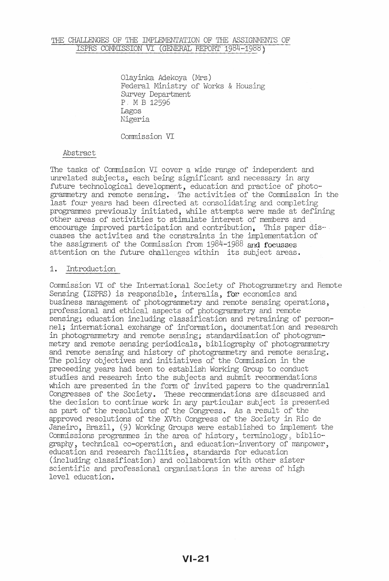## THE CHALLENGES OF THE IMPLEMENTATION OF THE ASSIGNMENTS OF ISPRS COMMISSION VI (GENERAL REPORT 1984-1988)

Olayinka Adekoya (Mrs) Federal Ministry of Works & Housing Survey Department p, M B 12596 Lagos Nigeria

Comnission VI

#### Abstract

The tasks of Commission VI cover a wide range of independent and unrelated subjects, each being significant and necessary in any future technological development, education and practice of photogrammetry and remote sensing. The activities of the Comnission in the last four years had been directed at consolidating and completing programmes previously initiated, while attempts were made at defining other areas of activities to stimulate interest of members and<br>encourage improved participation and contribution. This paper discuases the activites and the constraints in the implementation of the assignment of the Comnission from 1984-1988 and focusses attention on the future challenges within its subject areas.

### 1. Introduction

Comnission VI of the International Society of Photogrammetry and Remote Sensing (ISPRS) is responsible, interalia, for economics and business management of photogrammetry and remote sensing operations, professional and ethical aspects of photogrammetry and remote sensing; education including classification and retraining of personnel; international exchange of information, documentation and research in photogrammetry and remote sensing; standardisation of photogrammetry and remote sensing periodicals, bibliography of photogrammetry and remote sensing and history of photogrammetry and remote sensing. The policy objectives and initiatives of the Comnission in the preceeding years had been to establish Working Group to conduct studies and research into the subjects and submit recommendations which are presented in the form of invited papers to the quadrennial Congresses of the Society. These recommendations are discussed and the decision to continue work in any particular subject is presented as part of the resolutions of the Congress. As a result of the approved resolutions of the XVth Congress of the Society in Rio de Janeiro, Brazil, (9) Working Groups were established to implement the Commissions programmes in the area of history, terminology, bibliography, technical co-operation, and education~inventory of manpower, education and research facilities, standards for education (including classification) and collaboration with other sister scientific and professional organisations in the areas of high level education.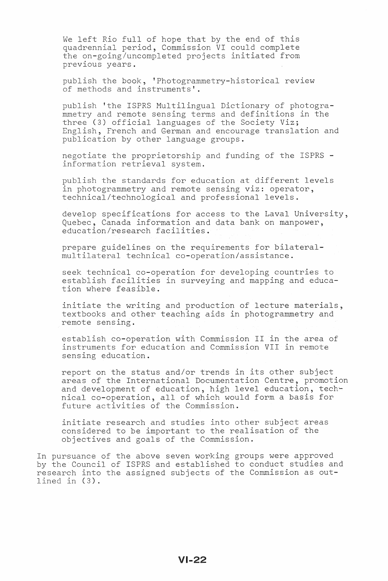We left Rio full of hope that by the end of this quadrennial period, Commission VI could complete the on-going/uncompleted projects initiated from previous years.

publish the book, 'Photogrammetry-historical review of methods and instruments'.

publish 'the ISPRS Multilingual Dictionary of photogrammetry and remote sensing terms and definitions in the three (3) official languages of the Society Viz; English, French and German and encourage translation and publication by other language groups.

negotiate the proprietorship and funding of the ISPRS information retrieval system.

publish the standards for education at different levels in photogrammetry and remote sensing viz: operator, technical/technological and professional levels.

develop specifications for access to the Laval University, Quebec, Canada information and data bank on manpower, education/research facilities.

prepare guidelines on the requirements for bilateralmultilateral technical co-operation/assistance.

seek technical co-operation for developing countries to establish facilities in surveying and mapping and education where feasible.

initiate the writing and production of lecture materials, textbooks and other teaching aids in photogrammetry and remote sensing.

establish co-operation with Commission II in the area of instruments for education and Commission VII in remote sensing education.

report on the status and/or trends in its other subject areas of the International Documentation Centre, promotion and development of education, high level education, techand deveropment or education, high rever education, teen<br>nical co-operation, all of which would form a basis for future activities of the Commission.

initiate research and studies into other subject areas considered to be important to the realisation of the objectives and goals of the Commission.

In pursuance of the above seven working groups were approved by the Council of ISPRS and established to conduct studies and research into the assigned subjects of the Commission as outlined in (3).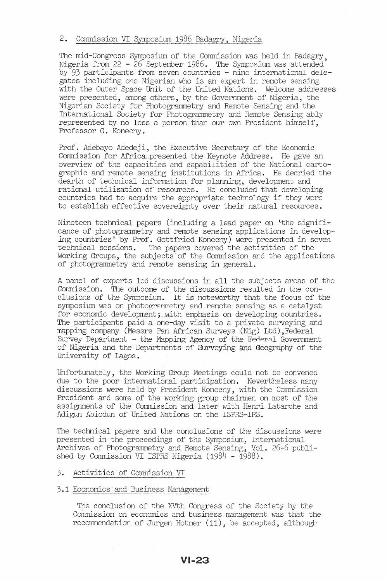# 2. Commission VI Symposium 1986 Badagry, Nigeria

The mid-Congress Symposium of the Commission was held in Badagry. Nigeria from 22 - 26 September 1986. The Symposium was attended' by 93 participants from seven countries - nine international delegates including one Nigerian who is an expert in remote sensing with the Outer Space Unit of the United Nations. Welcome addresses were presented, among others, by the Government of Nigeria, the Nigerian Society for Photogrammetry and Remote Sensing and the International Society for Photogrammetry and Remote Sensing ably represented by no less a person than our own President himself, Professor G. Konecny.

Prof. Adebayo Adedeji, the Executive Secretary of the Economic Commission for Africa.presented the Keynote Address. He gave an overview of the capacities and capabilities of the National cartographic and remote sensing institutions in Africa. He decried the dearth of technical information for planning, development and rational utilisation of resources. He concluded that developing countries had to acquire the appropriate technology if they were to establish effective sovereignty over their natural resources.

Nineteen technical papers (including a lead paper on 'the significance of photogrammetry and remote sensing applications in developing countries' by Prof. Gottfried Konecny) were presented in seven technical sessions. The papers covered the activities of the Working Groups, the subjects of the Commission and the applications of photogrammetry and remote sensing in general.

A panel of experts led discussions in all the subjects areas of the Connission. The outcome of the discussions resulted in the conclusions of the Symposium. It is noteworthy that the focus of the symposium was on photogrammetry and remote sensing as a catalyst for economic development; with emphasis on developing countries. The participants paid a one-day visit to a private surveying and mapping company (Messrs Pan African Surveys (Nig) Ltd) ,Federal Survey Department - the Mapping Agency of the Federal Government of Nigeria and the Departments of Surveying and Geography of the University of Lagos.

Unfortunately, the Working Group Meetings could not be convened due to the poor international participation. Nevertheless many discussions were held by President Konecny, with the Commission President and some of the working group chairmen on most of the assignments of the Commission and later with Henri Latarche and Adigun Abiodun of United Nations on the ISPRS-IRS.

The technical papers and the conclusions of the discussions were presented in the proceedings of the Symposium, International Archives of Photogrammetry and Remote Sensing, Vol. 26-6 published by Commission VI ISPRS Nigeria (1984 - 1988).

# 3. Activities of Commission VI

# 3.1 Economics and Business Management

The conclusion of the XVth Congress of the Society by the Commission on economics and business management was that the recommendation of Jurgen Hotmer (11), be accepted, although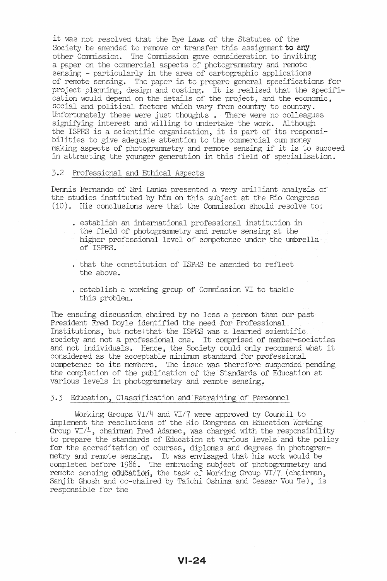it was not resolved that the Bye Laws of the Statutes of the Society be amended to remove or transfer this assignment to any other Commission. The Commission gave consideration to inviting a paper on the commercial aspects of photogrammetry and remote sensing - particularly in the area of cartographic applications of remote sensing. The paper is to prepare general specifications for project planning, design and costing. It is realised that the specification would depend on the details of the project, and the economic, social and political factors which vary from country to country. Unfortunately these were just thoughts. There were no colleagues signifying interest and willing to undertake the work. Although the ISPRS is a scientific organisation, it is part of its responsibilities to give adequate attention to the commercial cum money making aspects of photogrammetry and remote sensing if it is to succeed in attracting the younger generation in this field of specialisation.

### 3.2 Professional and Ethical Aspects

Dennis Fernando of Sri Lanka presented a very brilliant analysis of the studies instituted by him on this subject at the Rio Congress (10). His conclusions were that the Commission should resolve to:

- · establish an international professional institution in the field of photogrammetry and remote sensing at the higher professional level of competence under the umbrella of ISPRS.
- · that the constitution of ISPRS be amended to reflect the above.
- establish a working group of Commission VI to tackle this problem.

The ensuing discussion chaired by no less a person than our past President Fred Doyle identified the need for Professional Institutions, but note that the ISPRS was a learned scientific society and not a professional one. It comprised of member-societies and not individuals. Hence, the Society could only recommend what it considered as the acceptable minimum standard for professional competence to its members. The issue was therefore suspended pending the completion of the publication of the Standards of Education at various levels in photogrammetry and remote sensing.

## 3.3 Education, Classification and Retraining of Personnel

Working Groups  $VI/4$  and  $VI/7$  were approved by Council to implement the resolutions of the Rio Congress on Education Working Group *VI/4,* chairman Fred Adamec, was charged with the responsibility to prepare the standards of Education at various levels and the policy for the accreditation of courses, diplomas and degrees in photogrammetry and remote sensing. It was envisaged that his work would be completed before 1986. The embracing subject of photogrammetry and remote sensing education, the task of Working Group *VI/7* (chairman, Sanjib Ghosh and co-chaired by Taichi Oshima and Ceasar Vou Te), is responsible for the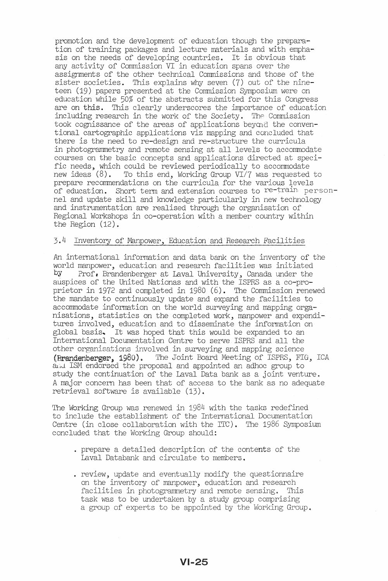promotion and the development of education though the preparation of training packages and lecture materials and with emphasis on the needs of developing countries. It is obvious that any activity of Commission VI in education spans over the assignments of the other technical Commissions and those of the sister societies. This explains why seven (7) out of the nineteen (19) papers presented at the Commission Symposium were on education while 50% of the abstracts submitted for this Congress are on this. This clearly underscores the importance of education including research in the work of the Society. The Commission took cognissance of the areas of applications beyond the conventional cartographic applications viz mapping and concluded that there is the need to re-design and re-structure the curricula in photogramnetry and remote sensing at all levels to accomnodate courses on the basic concepts and applications directed at specific needs, which could be reviewed periodically to accommodate<br>new ideas  $(8)$ . To this end, Working Group VI/7 was requested To this end, Working Group VI/7 was requested to prepare recommendations on the curricula for the various levels of education. Short term and extension courses to re-train personnel and update skill and knowledge particularly in new technology and instrumentation are realised through the organisation of Regional Workshops in co-operation with a member country within the Region (12).

### 3.4 Inventory of Manpower, Education and Research Facilities

An. international information and data bank on the inventory of the world manpower, education and research facilities was initiated<br>by Prof, Brandenberger at Laval University, Canada under the Prof. Brandenberger at Laval University, Canada under the auspices of the United Nationas and with the ISPRS as a co-proprietor in 1972 and completed in 1980 (6). The Commission renewed the mandate to continuously update and expand the facilities to accomnodate information on the world surveying and mapping organisations, statistics on the completed work, manpower and expenditures involved, education and to disseminate the information on global basis, It was hoped that this would be expanded to an International Documentation Centre to serve ISPRS and all the other organisations involved in surveying and mapping science (Brandenberger, 1980). The Joint Board Meeting of ISPRS, FIG, ICA *8.11.J.* ISM endorsed the proposal and appointed an adhoc group to study the continuation of the Laval Data bank as a joint venture. A major concern has been that of access to the bank as no adequate retrieval software is available (13) ..

The Working Group was renewed in 1984 with the tasks redefined to include the establishment of the International Documentation Centre (in close collaboration with the ITC). The 1986 Symposium concluded that the Working Group should:

- . prepare a detailed description of the contents of the Laval Databank and circulate to members.
- review, update and eventually modify the questionnaire on the inventory of manpower, education and research facilities in photogramnetry and remote sensing. This task was to be undertaken by a study group comprising a group of experts to be appointed by the Working Group.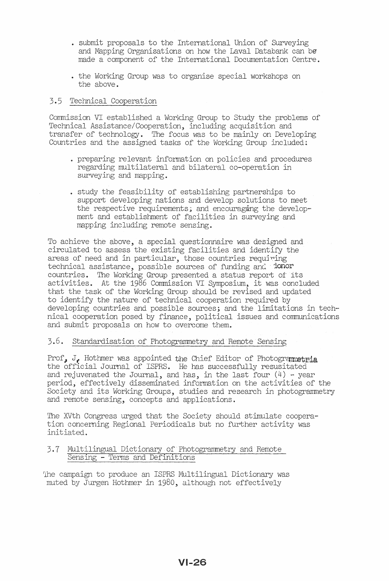- submit proposals to the International Union of Surveying and Mapping Organisations on how the Laval Databank can be made a component of the International Documentation Centre.
- . the Working Group was to organise special workshops on the above.

# 3.5 Technical Cooperation

Commission VI established a Working Group to Study the problems of Technical Assistance/Cooperation, including acquisition and transfer of technology. The focus was to be mainly on Developing Countries and the assigned tasks of the Working Group included;

- preparing relevant information on policies and procedures regarding multilateral and bilateral co-operation in surveying and mapping.
- study the feasibility of establishing partnerships to support developing nations and develop solutions to meet the respective requirements; and encouraging the development and establishment of facilities in surveying and mapping including remote sensing.

To achieve the above, a special questionnaire was designed and circulated to assess the existing facilities and identify the areas of need and in particular, those countries requiring technical assistance, possible sources of funding and donor countries. The Working Group presented a status report of its activities. At the 1986 Commission VI Symposium, it was concluded that the task of the Working Group should be revised and updated to identify the nature of technical cooperation required by developing countries and possible sources; and the limitations in tech· nical cooperation posed by finance, political issues and communications and submit proposals on how to overcome them.

# 3.6. Standardisation of Photogrammetry and Remote Sensing

Prof, J. Hothmer was appointed the Chief Editor of Photogrammetria the official Journal of ISPRS. He has successfully resusitated and rejuvenated the Journal, and has, in the last four  $(4)$  - year period, effectively disseminated information on the activities of the Society and its Working Groups, studies and research in photogrammetry and remote sensing, concepts and applications.

The XVth Congress urged that the Society should stimulate cooperation concerning Regional Periodicals but no further activity was initiated.

# 3.7 Multilingual Dictionary of Photogrammetry and Remote Sensing - Terms and Definitions

1he campaign to produce an ISPRS Multilingual Dictionary was muted by Jurgen Hothmer in 1980, although not effectively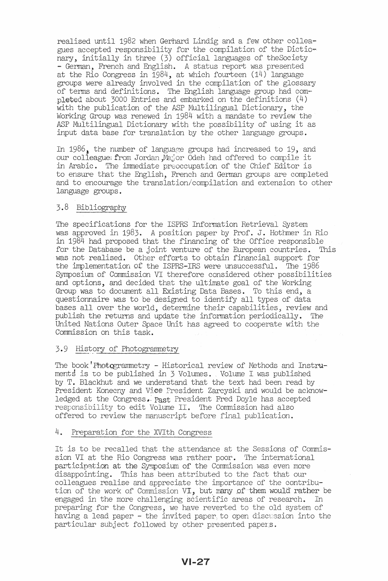realised until 1982 when Gerhard Lindig and a few other colleagues accepted responsibility for the compilation of the Dictio-<br>nary, initially in three (3) official languages of the Society - German, French and English. A status report was presented at the Rio Congress in 1984, at which fourteen (14) language groups were already involved in the compilation of the glossary of terms and definitions. The English language group had completed about 3000 Entries and embarked on the definitions (4) with the publication of the ASP Multilingual Dictionary, the Working Group was renewed in 1984 with a mandate to review the ASP Multilingual Dictionary with the possibility of using it as input data base for translation by the other language groups.

In 1986, the number of language groups had increased to 19, and our colleague: from Jordan Major Odeh had offered to compile it in Arabic. The immediate preoccupation of the Chief Editor is to ensure that the English, French and German groups are completed and to encourage the translation/compilation and extension to other language groups.

# 3.8 Bibliography

The specifications for the ISPRS Information Retrieval System was approved in 1983. A position paper by Prof. J. Hothmer in Rio in 1984 had proposed that the financing of the Office responsible for the Database be a joint venture of the European countries. This was not realised. Other efforts to obtain financial support for the implementation of the ISPRS-IRS were unsuccessful. The 1986 Symposium of Commission VI therefore considered other possibilities and options, and decided that the ultimate goal of the Working Group was to document all Existing Data Bases. To this end, a questionnaire was to be designed to identify all types of data bases all over the world, determine their capabilities, review and publish the returns and update the information periodically. The United Nations Outer Space Unit has agreed to cooperate with the Commission on this task.

## 3.9 History of Photogrammetry

The book'Photqgrammetry - Historical review of Methods and Instru~ ments is to be published in  $\frac{1}{2}$  Volumes. Volume I was published by T. Blackhut and we understand that the text had been read by President Konecny and Vice President Zarcyski and would be acknowledged at the Congress. Past President Fred Doyle has accepted resronsibility to edit Volume IT. The Commission had also offered to review the manuscript before final publication.

### 4. Preparation for the XVIth Congress

It is to be recalled that the attendance at the Sessions of Commission VI at the Rio Congress was rather poor. The international participation at the Symposium of the Commission was even more disappointing. This has been attributed to the fact that our colleagues realise and appreciate the importance of the contribution of the work of Commission VI, but many of them would rather be engaged in the more challenging scientific areas of research. In preparing for the Congress, we have reverted to the old system of having a lead paper - the invited paper, to open discussion into the particular subject followed by other presented papers.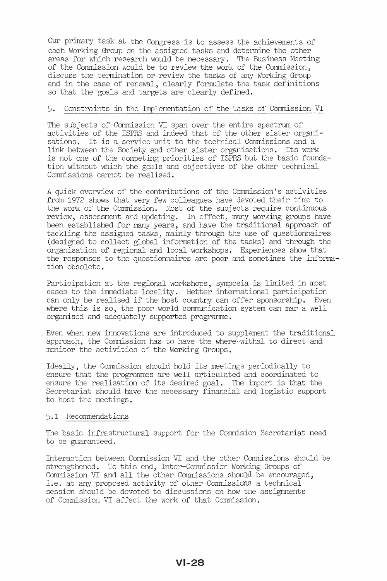Our primary task at the Congress is to assess the achievements of each Working Group on the assigned tasks and determine the other areas for which research would be necessary. The Business Meeting of the Commission would be to review the work of the Commission, discuss the termination or review the tasks of any Working Group and in the case of renewal, clearly formulate the task definitions so that the goals and targets are clearly defined.

# 5. Constraints in the Implementation of the Tasks of Commission VI

The subjects of Commission VI span over the entire spectrum of activities of the ISPRS and indeed that of the other sister organisations. It is a service unit to the technical Commissions and a link between the Society and other sister organisations. Its work is not one of the competing priorities of ISPRS but the basic foundation without which the goals and objectives of the other technical Commissions cannot be realised.

A quick overview of the contributions of the Commission's activities from 1972 shows that very few colleagues have devoted their time to the work of the Commission. Most of the subjects require continuous review, assessment and updating. In effect, many working groups have been established for many years, and have the traditional approach of tackling the assigned tasks, mainly through the use of questionnaires (designed to collect global information of the tasks) and through the organisation of regional and local workshops. Experiences show that the responses to the questionnaires are poor and sometimes the information obsolete.

Participation at the regional workshops, symposia is limited in most cases to the immediate locality. Better international participation can only be realised if the host country can offer sponsorship. Even where this is so, the poor world communication system can mar a well organised and adequately supported programme.

Even when new innovations are introduced to supplement the traditional approach, the Commission has to have the where-withal to direct and monitor the activities of the Working Groups.

Ideally, the Commission should hold its meetings periodically to ensure that the programmes are well articulated and coordinated to ensure the realisation of its desired goal. The import is that the Secretariat should have the necessary financial and logistic support to host the meetings.

#### 5.1 Recommendations

The basic infrastructural support for the Commision Secretariat need to be guaranteed.

Interaction between Commission VI and the other Commissions should be strengthened. To this end, Inter-Commission Working Groups of Commission VI and all the other Commissions should be encouraged, i.e. at any proposed activity of other Commissions a technical session should be devoted to discussions on how the assignments of Commission VI affect the work of that Commission.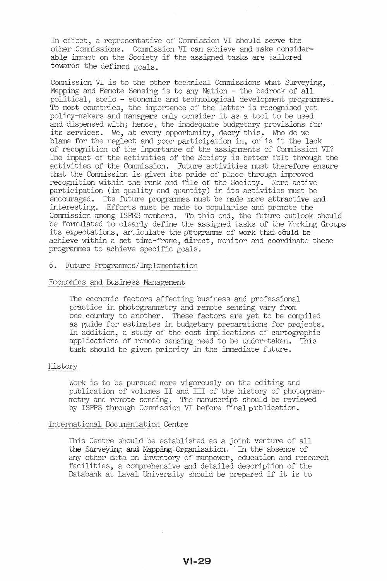In effect, a representative of Commission VI should serve the other Commissions. Commission VI can achieve and make consider able impact on the Society if the assigned tasks are tailored towards the defined goals.

Commission VI is to the other technical Commissions what Surveying, Mapping and Remote Sensing is to any Nation - the bedrock of all political, socio - economic and technological development programmes. To most countries, the importance of the latter is recognised yet policy-makers and managers only consider it as a tool to be used and dispensed with; hence, the inadequate budgetary provisions for its services. We, at every opportunity, decry this. Who do we blame for the neglect and poor participation in, or'is it the lack of recognition of the importance of the assignments of Commission VI? The impact of the activities of the Society is better felt through the activities of the Commission. Future activities must therefore ensure that the Commission is given its pride of place through improved recognition within the rank and file of the Society. More active participation (in quality and quantity) in its activities must be encouraged. Its future programmes must be made more attractive and interesting. Efforts must be made to popularise and promote the Commission among ISPRS members. To this end, the future outlook should be formulated to clearly define the assigned tasks of the Working Groups its expectations, articulate the programme of work that could be achieve within a set time-frame,  $divect$ , monitor and coordinate these programmes to achieve specific goals.

### 6. Future Programmes/Implementation

## Economics and Business Management

The economic factors affecting business and professional practice in photogrammetry and remote sensing vary from one country to another. These factors are yet to be compiled as guide for estimates in budgetary preparations for projects. In addition, a study of the cost implications of cartographic applications of remote sensing need to be under·~taken. This task should be given priority in the immediate future.

#### History

Work is to be pursued more vigorously on the editing and publication of volumes II and III of the history of photogrammetry and remote sensing. The manuscript should be reviewed by ISPRS through Commission VI before final publication.

#### International Documentation Centre

This Centre should be established as a joint venture of all the Surveying and Mapping Organisation. In the absence of any other data on inventory of manpower, education and research facilities, a comprehensive and detailed description of the Databank at Laval University should be prepared if it is to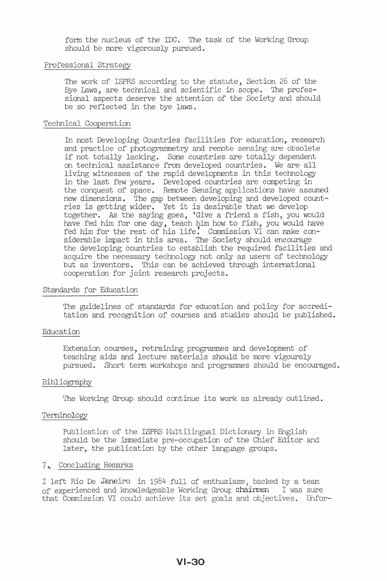form the nucleus of the IDC. The task of the Working Group should be more vigorously pursued.

### Professional Strategy

The work of ISPRS according to the statute, Section 26 of the Bye Laws, are technical and scientific in scope. The professional aspects deserve the attention of the Society and should be so reflected in the bye laws.

## Technical Cooperation

In most Developing Countries facilities for education, research and practice of photogrammetry and remote sensing are obsolete if not totally lacking. Some countries are totally dependent on technical assistance from developed countries. We are all living witnesses of the rapid developments in this technology in the last few years. Developed countries are competing in the conquest of space. Remote Sensing applications have assumed new dimensions. The gap between developing and developed countries is getting wider. Yet it is desirable that we develop together. As the saying goes, 'Give a friend a fish, you would have fed him for one day, teach him how to fish, you would have fed him for the rest of his life: Commission VI can make considerable impact in this area. The Society should encourage the developing countries to establish the required facilities and acquire the necessary technology not only as users of technology but as inventors. This can be achieved through international cooperation for joint research projects.

### Standards for Education

The guidelines of standards for education and policy for accreditation and recognition of courses and studies should be published.

## Education

Extension courses, retraining programmes and development of teaching aids and lecture materials should be more vigoursly pursued. Short term workshops and programmes should be encouraged.

#### Bibliography

The Working Group should continue its work as already outlined.

#### Terminology

Publication of the ISPRS Multilingual Dictionary in English should be the immediate pre-occupation of the Chief Editor and later, the publication by the other language groups.

#### 7. Concluding Remarks

I left Rio De Janeiro in 1984 full of enthusiasm, backed by a team of experienced and knowledgeable Working Group chairmen I was sure that Commission VI could achieve its set goals and objectives. Unfor-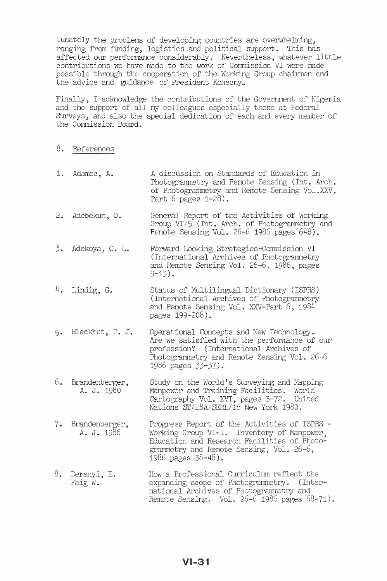tunately the problems of developing countries are overwhelming, ranging from funding, logistics and political support. This has affected our performance considerably. Nevertheless, whatever little contributions we have made to the work of Commission VI were made possible through the cooperation of the Working Group chairmen and the advice and guidance of President Konecny.

Finally, I acknowledge the contributions of the Government of Nigeria and the support of all my colleagues especially those at Federal Surveys, and also the special dedication of each and every member of the Commission Board.

- 8. References
- 1. Adamec, A. A discussion on Standards of Education in Photogrammetry and Remote Sensing (Int. Arch. of Photogrammetry and Remote Sensing Vol.XXV, Part 6 pages 1-28).
- 2. Adebekun, O. General Report of the Activities of Working Group VI/5 (Int. Arch. of Photogrammetry and Remote Sensing Vol. 26-6 1986 pages  $6-8$ ).
- 3. Adekoya, o. L. Forward Looking Strategies~Commission VI (International Archives of Photograrnmetry and Remote Sensing Vol. 26-6, 1986, pages  $9 - 13$ .
- 4. Lindig, G. Status of Multilingual Dictionary (ISPRS) (International Archives of Photograrnmetry and Remote Sensing Vol. XXV-Part 6, 1984 pages 199-208).
- 5. Blackhut, T. J. Operational Concepts and New Technology. Are we satisfied with the performance of our profession? (International Archives of Photogrammetry and Remote Sensing Vol. 26~6 1986 pages 33-37).
- 6. Brandenberger, A. J. 1980 Study on the World's Surveying and Mapping Manpower and Training Facilities. World wanpower and framing racificies. World<br>Cartography Vol. XVI, pages 3-72. United *Nationsill/E8A.iSERL/16* New York 1980.
- 7. Brandenberger, A. J. 1986 Progress Report of the Activities of ISPRS - Working Group VI-I. Inventory of Manpower, Education and Research Facilities of Photograrnmetry and Remote Sensing, Vol. 26~6, 1986 pages 38-48).
- 8.. Derenyi, E. Faig W. How a Professional Curriculum reflect the expanding scope of Photogrammetry. (International Archives of Photogrammetry and Remote Sensing. Vol. 26-6 1986 pages 68-71).

 $VI - 31$